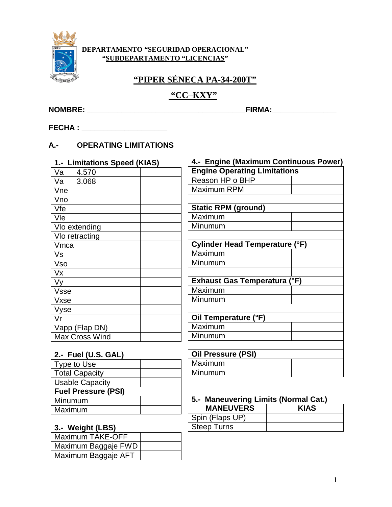

#### DEPARTAMENTO "SEGURIDAD OPERACIONAL" "SUBDEPARTAMENTO "LICENCIAS"

## "PIPER SÉNECA PA-34-200T"

# "CC-KXY"

FECHA: The contract of the contract of the contract of the contract of the contract of the contract of the contract of the contract of the contract of the contract of the contract of the contract of the contract of the con

## A.- OPERATING LIMITATIONS

| 1.- Limitations Speed (KIAS) |
|------------------------------|
| Va<br>4.570                  |
| Va 3.068                     |
| Vne                          |
| Vno                          |
| Vfe                          |
| Vle                          |
| Vlo extending                |
| VIo retracting               |
| Vmca                         |
| Vs                           |
| Vso                          |
| Vx                           |
| Vy                           |
| <b>Vsse</b>                  |
| Vxse                         |
| Vyse                         |
| Vr                           |
| Vapp (Flap DN)               |
| <b>Max Cross Wind</b>        |

| 4.- Engine (Maximum Continuous Power) |  |  |
|---------------------------------------|--|--|
| <b>Engine Operating Limitations</b>   |  |  |
| Reason HP o BHP                       |  |  |
| Maximum RPM                           |  |  |
|                                       |  |  |
| <b>Static RPM (ground)</b>            |  |  |
| Maximum                               |  |  |
| Minumum                               |  |  |
|                                       |  |  |
| Cylinder Head Temperature (°F)        |  |  |
| Maximum                               |  |  |
| Minumum                               |  |  |
|                                       |  |  |
| <b>Exhaust Gas Temperatura (°F)</b>   |  |  |
| Maximum                               |  |  |
| Minumum                               |  |  |
|                                       |  |  |
| Oil Temperature (°F)                  |  |  |
| Maximum                               |  |  |
| Minumum                               |  |  |
|                                       |  |  |
| <b>Oil Pressure (PSI)</b>             |  |  |

#### $2 -$  Fuel (U.S. GAL)

| $\cdots$ $\cdots$          |  |  |
|----------------------------|--|--|
| Type to Use                |  |  |
| <b>Total Capacity</b>      |  |  |
| <b>Usable Capacity</b>     |  |  |
| <b>Fuel Pressure (PSI)</b> |  |  |
| Minumum                    |  |  |
| Maximum                    |  |  |

## 3.- Weight (LBS)

| <b>Maximum TAKE-OFF</b> |  |
|-------------------------|--|
| Maximum Baggaje FWD     |  |
| Maximum Baggaje AFT     |  |

# 5.- Maneuvering Limits (Normal Cat.)

Maximum Minumum

| <b>MANEUVERS</b>   | <b>KIAS</b> |
|--------------------|-------------|
| Spin (Flaps UP)    |             |
| <b>Steep Turns</b> |             |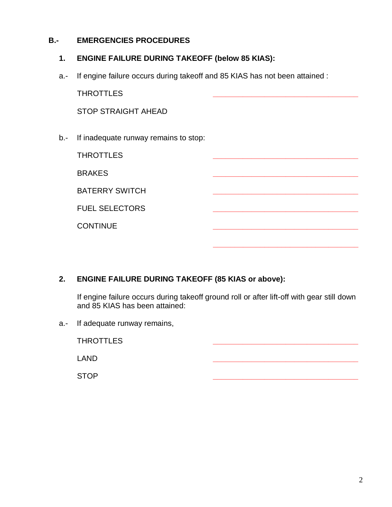## **B.- EMERGENCIES PROCEDURES**

#### **1. ENGINE FAILURE DURING TAKEOFF (below 85 KIAS):**

a.- If engine failure occurs during takeoff and 85 KIAS has not been attained :

|     | <b>THROTTLES</b>                      |  |  |
|-----|---------------------------------------|--|--|
|     | <b>STOP STRAIGHT AHEAD</b>            |  |  |
| b.- | If inadequate runway remains to stop: |  |  |
|     | <b>THROTTLES</b>                      |  |  |
|     | <b>BRAKES</b>                         |  |  |
|     | <b>BATERRY SWITCH</b>                 |  |  |
|     | <b>FUEL SELECTORS</b>                 |  |  |
|     | <b>CONTINUE</b>                       |  |  |
|     |                                       |  |  |

## **2. ENGINE FAILURE DURING TAKEOFF (85 KIAS or above):**

If engine failure occurs during takeoff ground roll or after lift-off with gear still down and 85 KIAS has been attained:

a.- If adequate runway remains,

| <b>THROTTLES</b> |  |  |
|------------------|--|--|
| LAND             |  |  |
| <b>STOP</b>      |  |  |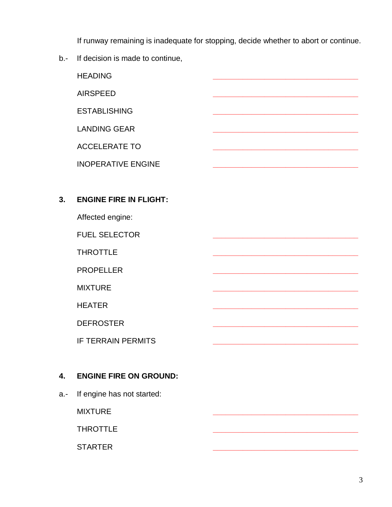If runway remaining is inadequate for stopping, decide whether to abort or continue.

b.- If decision is made to continue,

HEADING **\_\_\_\_\_\_\_\_\_\_\_\_\_\_\_\_\_\_\_\_\_\_\_\_\_\_\_\_\_\_\_\_\_\_** AIRSPEED **\_\_\_\_\_\_\_\_\_\_\_\_\_\_\_\_\_\_\_\_\_\_\_\_\_\_\_\_\_\_\_\_\_\_** ESTABLISHING **\_\_\_\_\_\_\_\_\_\_\_\_\_\_\_\_\_\_\_\_\_\_\_\_\_\_\_\_\_\_\_\_\_\_** LANDING GEAR **\_\_\_\_\_\_\_\_\_\_\_\_\_\_\_\_\_\_\_\_\_\_\_\_\_\_\_\_\_\_\_\_\_\_** ACCELERATE TO **\_\_\_\_\_\_\_\_\_\_\_\_\_\_\_\_\_\_\_\_\_\_\_\_\_\_\_\_\_\_\_\_\_\_** INOPERATIVE ENGINE **\_\_\_\_\_\_\_\_\_\_\_\_\_\_\_\_\_\_\_\_\_\_\_\_\_\_\_\_\_\_\_\_\_\_ 3. ENGINE FIRE IN FLIGHT:** Affected engine:

FUEL SELECTOR **\_\_\_\_\_\_\_\_\_\_\_\_\_\_\_\_\_\_\_\_\_\_\_\_\_\_\_\_\_\_\_\_\_\_**

THROTTLE **\_\_\_\_\_\_\_\_\_\_\_\_\_\_\_\_\_\_\_\_\_\_\_\_\_\_\_\_\_\_\_\_\_\_**

PROPELLER **\_\_\_\_\_\_\_\_\_\_\_\_\_\_\_\_\_\_\_\_\_\_\_\_\_\_\_\_\_\_\_\_\_\_**

MIXTURE **\_\_\_\_\_\_\_\_\_\_\_\_\_\_\_\_\_\_\_\_\_\_\_\_\_\_\_\_\_\_\_\_\_\_**

HEATER **\_\_\_\_\_\_\_\_\_\_\_\_\_\_\_\_\_\_\_\_\_\_\_\_\_\_\_\_\_\_\_\_\_\_**

DEFROSTER **\_\_\_\_\_\_\_\_\_\_\_\_\_\_\_\_\_\_\_\_\_\_\_\_\_\_\_\_\_\_\_\_\_\_**

**IF TERRAIN PERMITS** 

## **4. ENGINE FIRE ON GROUND:**

a.- If engine has not started:

MIXTURE **\_\_\_\_\_\_\_\_\_\_\_\_\_\_\_\_\_\_\_\_\_\_\_\_\_\_\_\_\_\_\_\_\_\_**

THROTTLE **\_\_\_\_\_\_\_\_\_\_\_\_\_\_\_\_\_\_\_\_\_\_\_\_\_\_\_\_\_\_\_\_\_\_**

STARTER **\_\_\_\_\_\_\_\_\_\_\_\_\_\_\_\_\_\_\_\_\_\_\_\_\_\_\_\_\_\_\_\_\_\_**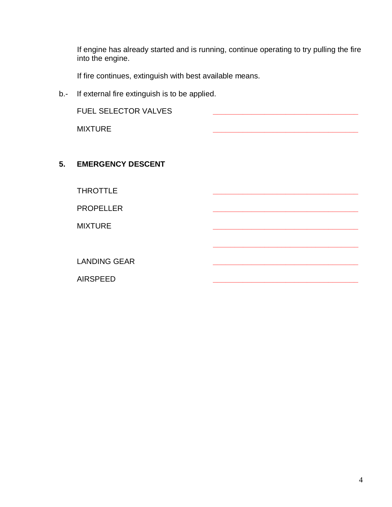If engine has already started and is running, continue operating to try pulling the fire into the engine.

**\_\_\_\_\_\_\_\_\_\_\_\_\_\_\_\_\_\_\_\_\_\_\_\_\_\_\_\_\_\_\_\_\_\_**

If fire continues, extinguish with best available means.

b.- If external fire extinguish is to be applied.

FUEL SELECTOR VALVES **\_\_\_\_\_\_\_\_\_\_\_\_\_\_\_\_\_\_\_\_\_\_\_\_\_\_\_\_\_\_\_\_\_\_**

MIXTURE **\_\_\_\_\_\_\_\_\_\_\_\_\_\_\_\_\_\_\_\_\_\_\_\_\_\_\_\_\_\_\_\_\_\_**

#### **5. EMERGENCY DESCENT**

THROTTLE **\_\_\_\_\_\_\_\_\_\_\_\_\_\_\_\_\_\_\_\_\_\_\_\_\_\_\_\_\_\_\_\_\_\_**

PROPELLER **\_\_\_\_\_\_\_\_\_\_\_\_\_\_\_\_\_\_\_\_\_\_\_\_\_\_\_\_\_\_\_\_\_\_**

MIXTURE **\_\_\_\_\_\_\_\_\_\_\_\_\_\_\_\_\_\_\_\_\_\_\_\_\_\_\_\_\_\_\_\_\_\_**

LANDING GEAR **\_\_\_\_\_\_\_\_\_\_\_\_\_\_\_\_\_\_\_\_\_\_\_\_\_\_\_\_\_\_\_\_\_\_**

AIRSPEED **\_\_\_\_\_\_\_\_\_\_\_\_\_\_\_\_\_\_\_\_\_\_\_\_\_\_\_\_\_\_\_\_\_\_**